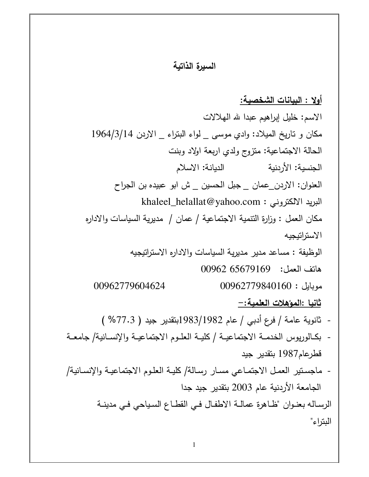## السيرة الذاتية

أولا : البيانات الشخصية: الاسم: خليل إبراهيم عبدا لله المهلالات مكان و تاريخ الميلاد: وادي موسى \_ لواء البتراء \_ الاردن 1964/3/14 الحالة الاجتماعية: منزوج ولدى اربعة اولاد وبنت الجنسية: الأردنية الديانة: الاسلام العنوان: الاردن\_عمان \_ جبل الحسين \_ ش ابو عبيده بن الجراح khaleel\_helallat@yahoo.com : البريد الالكتروني مكان العمل : وزارة التنمية الاجتماعية / عمان / مديرية السياسات والاداره الاستراتيجيه الوظيفة : مساعد مدير مديرية السياسات والاداره الاستراتيجيه هاتف العمل: 65679169 00962  $00962779840160:$ موبايل 00962779604624 <u>ثانيا :المؤهلات العلمية: –</u> - ثانوية عامة / فرع أدبي / عام 1983/1982بنقدير جيد ( 77.3% ) - بكـالوريوس الخدمــة الاجتماعيــة / كليــة العلــوم الاجتماعيــة والإنســانية/ جامعــة قطرعام1987 بنقدير جيد - ماجسنير العمل الاجتماعي مسار رسالة/ كليـة العلـوم الاجتماعيـة والإنسـانية/

> الرساله بعنوان "ظاهرة عمالة الاطفال في القطاع السياحي في مدينة البتراء"

الجامعة الأردنية عام 2003 بتقدير جيد جدا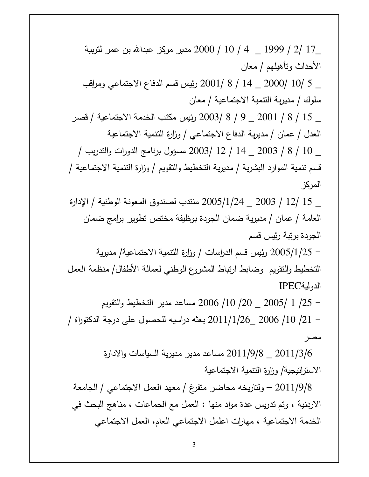\_17 /2 / 1999 \_ 4 / 10 / 2000 مدير مركز عبدالله بن عمر لتربية الأحداث ونأهيلهم / معان \_ 5 /10 /2000 \_ 14 / 8 /2001 رئيس قسم الدفاع الاجتماعي ومراقب سلوك / مديرية التنمية الاجتماعية / معان \_ 15 / 8 / 2001 \_ 9 / 8 /2003 رئيس مكتب الخدمة الاجتماعية / قصر العدل / عمان / مديرية الدفاع الاجتماعي / وزارة التنمية الاجتماعية \_ 10 / 8 / 2003 \_ 14 / 12 /2003 مسؤول برنامج الدورات والندريب / قسم نتمية الموارد البشرية / مديرية التخطيط والنقويم / وزارة النتمية الاجتماعية / المركز \_ 15 /12 / 2003 \_ 2005/1/24 منتدب لصندوق المعونة الوطنية / الإدارة العامة / عمان / مديرية ضمان الجودة بوظيفة مختص تطوير برامج ضمان الجودة برنبة رئيس قسم – 2005/1/25 رئيس قسم الدراسات / وزارة النتمية الاجتماعية/ مديرية التخطيط والنقويم وضابط ارتباط المشروع الوطني لعمالة الأطفال/ منظمة العمل الدولية IPEC – 25/ 1 /2005 \_ 200 /10 2006 مساعد مدير التخطيط والنقويم – 21/ 10/ 2006 \_2011/1/26 بعثه دراسيه للحصول على درجة الدكتوراة / مصر – 2011/3/6 – 2011/3/6 مساعد مدير مديرية السياسات والادارة الاستراتيجية/ وزارة التنمية الاجتماعية – 2011/9/8 – ولتاريخه محاضر متفرغ / معهد العمل الاجتماعي / الجامعة الاردنية ، وتم تدريس عدة مواد منها : العمل مع الجماعات ، مناهج البحث في الخدمة الاجتماعية ، مهارات اعلمل الاجتماعي العام، العمل الاجتماعي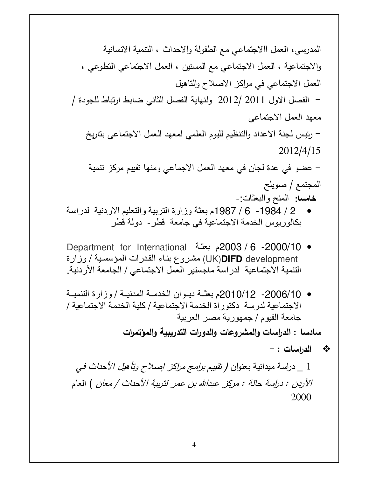#)-) #) S F
% #1? C .\$ & S.- S .? .\$ & S )- C .\$ & S #\$ + B ( .7 .\$ & / /
\$ ? ?I .)4 B1 # ) 2012 / 2011 B1 Q .\$ & & .\$ & & .& 2) 

 #)\$ =J Q 2012/4/15 #) ( 8 ) .\$ & & .7 \$ /
 .7 I Q TB / C\$ خامسا**:** المنح والبعثات :- • / 2 1984 / 6 - 1987م بعثة وزارة التربية والتعليم اردنية لدراسة

- بكالوريوس الخدمة اجتماعية في جامعة قطر دولة قطر
- 10/ 2000 / 6 2003م بعث!ة International for Department development **DIFD**)UK (مش!روع بن!اء الق!درات المؤسس!ية / وزارة التنمية الاجتماعية لدراسة ماجستير العمل الاجتماعي / الجامعة الأردنية.
- 2006/10- 2010/12م بعثــة ديـوان الخدمــة المدنيــة / وزارة التنميــة اجتماعية لدرسة دكتوراة الخدمة اجتماعية / كلية الخدمة اجتماعية / جامعة الفيوم / جمھورية مصر العربية

سادسا : الدراسات والمشروعات والدورات التدريبية والمؤتمرات

\*\* الدراسات : -

1 \_ دراسة ميدانية بعنوان ( تق*ييم برامج مراكز إصلاح وتأهيل الأحداث في* الأردن : دراسة حالة : مركز عبدالله بن عمر لتربية الأحداث / معان ) العام 2000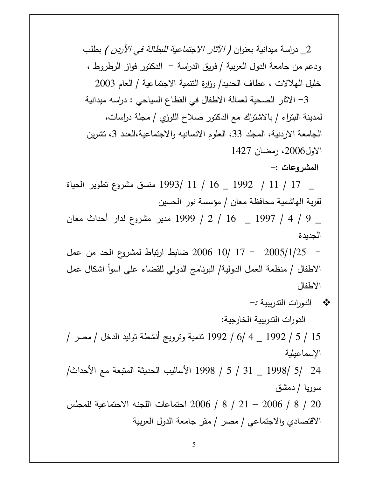2\_ دراسة ميدانية بعنوان ( *الآثار الاجتماعية للبطالة في الأردن )* بطلب ودعم من جامعة الدول العربية / فريق الدراسة – الدكتور فواز الرطروط ، خليل الهلالات ، عطاف الحديد/ وزارة النتمية الاجتماعية / العام 2003

3– الاثار الصحية لعمالة الاطفال في القطاع السياحي : دراسه ميدانية لمدينة البنراء / بالاشتراك مع الدكتور صلاح اللوزي / مجلة دراسات، الجامعة الاردنية، المجلد 33، العلوم الانسانيه والاجتماعية،العدد 3، تشرين الاول2006، رمضان 1427

المشروعات :–

\_ 17 / 11 / 1992 \_ 16 / 1993 منسق مشروع نطوير الحياة لقرية الهاشمية محافظة معان / مؤسسة نور الحسين

\_ 9 / 4 / 1997 \_ - 16 / 2 / 1999 مدير مشروع لدار أحداث معان الجدبدة

– 2005/1/25 – 17 /10 2006 ضابط ارتباط لمشروع الحد من عمل الاطفال / منظمة العمل الدولية/ البرنامج الدولي للقضاء على اسوأ اشكال عمل الاطفال

الدورات التدريبية الخارجية:

15 / 5 / 1992 \_ 4 /6 / 1992 تنمية وترويج أنشطة توليد الدخل / مصر / الإسماعيلية

24 /5 /1998 \_ 31 / 5 / 1998 الأساليب الحديثة المتبعة مع الأحداث/ سوریا / دمشق

20 / 8 / 2006 – 21 / 8 / 2006 اجتماعات اللجنه الاجتماعية للمجلس الاقتصادي والاجتماعي / مصر / مقر جامعة الدول العربية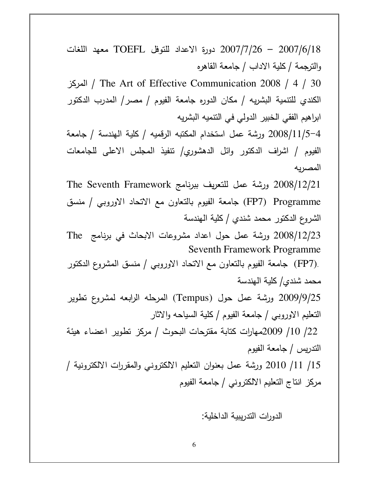2007/6/18 - 2007/7/26 دورة الاعداد للتوفل TOEFL معهد اللغات والنرجمة / كلية الاداب / جامعة القاهره

المركز / The Art of Effective Communication 2008 / 4 / 30 الكندي للتتمية البشريه / مكان الدوره جامعة الفيوم / مصر / المدرب الدكتور ابراهيم الفقي الخبير الدولي في النتميه البشريه

2008/11/5–4 ورشة عمل استخدام المكتبه الرقميه / كلية الهندسة / جامعة الفيوم / اشراف الدكتور وائل الدهشوري/ نتفيذ المجلس الاعلى للجامعات المصريه

The Seventh Framework ورشة عمل للتعريف ببرنامج  $2008/12/21$ FP7) Programme) جامعة الفيوم بالتعاون مع الاتحاد الاوروبي / منسق الشروع الدكتور محمد شندي / كلية الـهندسة

2008/12/23 ورشة عمل حول اعداد مشروعات الابحاث في برنامج The Seventh Framework Programme

ـ (FP7) جامعة الفيوم بالتعاون مع الاتحاد الاوروبي / منسق المشروع الدكتور (FP7). محمد شندي/ كلية الهندسة

2009/9/25 ورشة عمل حول (Tempus) المرحله الرابعه لمشروع نطوير النعليم الاوروبي / جامعة الفيوم / كلية السياحه والاثار

22/ 10/ 2009مهارات كتابة مقترحات البحوث / مركز تطوير اعضاء هيئة التدريس / جامعة الفيوم

15/ 2010 ورشة عمل بعنوان النعليم الالكتروني والمقررات الالكترونية / مركز انتاج التعليم الالكتروني / جامعة الفيوم

الدورات التدريبية الداخلية: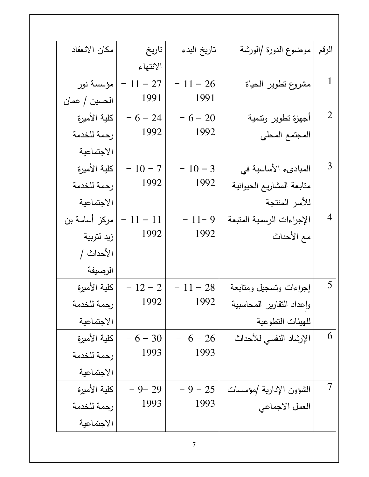| مكان الانعقاد | تاريخ      | تاريخ البدء | موضوع الدورة /الورشة      | الرقم          |
|---------------|------------|-------------|---------------------------|----------------|
|               | الانتهاء   |             |                           |                |
| مؤسسة نور     | $-11 - 27$ | $-11-26$    | مشروع نطوير الحياة        | $\mathbf{1}$   |
| الحسين / عمان | 1991       | 1991        |                           |                |
| كلية الأميرة  | $-6 - 24$  | $-6 - 20$   | أجهزة تطوير وتتمية        |                |
| رحمة للخدمة   | 1992       | 1992        | المجتمع المحلي            |                |
| الاجتماعية    |            |             |                           |                |
| كلبة الأميرة  | $-10-7$    | $-10-3$     | المبادىء الأساسية في      | 3              |
| رحمة للخدمة   | 1992       | 1992        | متابعة المشاريع الحيوانية |                |
| الاجتماعية    |            |             | للأسر المنتجة             |                |
| مركز أسامة بن | $-11 - 11$ | $-11-9$     | الإجراءات الرسمية المتبعة | $\overline{4}$ |
| زيد لتربية    | 1992       | 1992        | مع الأحداث                |                |
| الأحداث /     |            |             |                           |                |
| الرصيفة       |            |             |                           |                |
| كلية الأميرة  | $-12-2$    | $-11 - 28$  | إجراءات وتسجيل ومتابعة    | 5              |
| رحمة للخدمة   | 1992       | 1992        | واعداد النقارير المحاسبية |                |
| الاجتماعية    |            |             | للهيئات التطوعية          |                |
| كلبة الأميرة  | $-6 - 30$  | $6 - 26$    | الإرشاد النفسي للأحداث    | 6              |
| رحمة للخدمة   | 1993       | 1993        |                           |                |
| الاجتماعية    |            |             |                           |                |
| كلية الأميرة  | $-9-29$    | $-9 - 25$   | الشؤون الإدارية /مؤسسات   |                |
| رحمة للخدمة   | 1993       | 1993        | العمل الاجماعي            |                |
| الاجتماعية    |            |             |                           |                |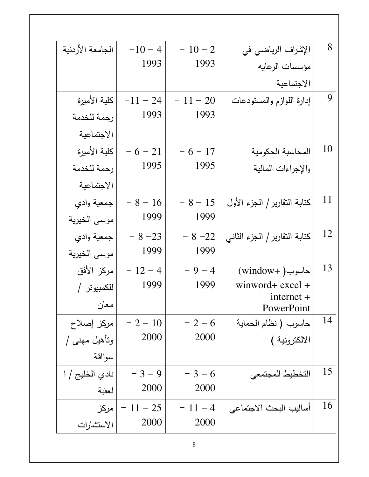| 8  | الإشراف الرياضي في            | $-10-2$    | $-10 - 4$  | الجامعة الأردنية |
|----|-------------------------------|------------|------------|------------------|
|    | مؤسسات الرعايه                | 1993       | 1993       |                  |
|    | الاجتماعية                    |            |            |                  |
| 9  | إدارة اللوازم والمستودعات     | $-11 - 20$ | $-11 - 24$ | كلية الأميرة     |
|    |                               | 1993       | 1993       | رحمة للخدمة      |
|    |                               |            |            | الاجتماعية       |
| 10 | المحاسبة الحكومية             | $-6 - 17$  | $-6 - 21$  | كلبة الأميرة     |
|    | والإجراءات المالية            | 1995       | 1995       | رحمة للخدمة      |
|    |                               |            |            | الاجتماعية       |
| 11 | كتابة التقارير   الجزء الأول  | $-8 - 15$  | $-8 - 16$  | جمعية وادي       |
|    |                               | 1999       | 1999       | موسى الخيرية     |
| 12 | كتابة التقارير   الجزء الثاني | $-8 - 22$  | $-8 - 23$  | جمعية وادي       |
|    |                               | 1999       | 1999       | موسى الخيرية     |
| 13 | حاسوب( +window)               | $-9-4$     | $-12-4$    | مركز الأفق       |
|    | winword+ excel +              | 1999       | 1999       | للكمبيوتر /      |
|    | $internet +$<br>PowerPoint    |            |            | معان             |
| 14 | حاسوب ( نظام الحماية          | $-2-6$     | $-2 - 10$  | مركز إصلاح       |
|    | الالكترونية )                 | 2000       | 2000       | ونأهيل مهنى /    |
|    |                               |            |            | سوااقة           |
| 15 | التخطيط المجتمعي              | $-3-6$     | $-3 - 9$   | نادي الخليج / ا  |
|    |                               | 2000       | 2000       | لعقبة            |
| 16 | أساليب البحث الاجتماعي        | $-11-4$    | $-11 - 25$ | مركز             |
|    |                               | 2000       | 2000       | الاستشارات       |
|    |                               |            |            |                  |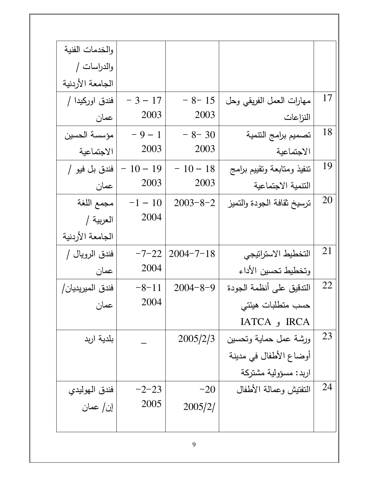| والخدمات الفنية  |           |                 |                            |           |
|------------------|-----------|-----------------|----------------------------|-----------|
| والدراسات /      |           |                 |                            |           |
| الجامعة الأردنية |           |                 |                            |           |
| فندق اوركبدا /   | $-3 - 17$ | $-8-15$         | مهارات العمل الفريقي وحل   | 17        |
| عمان             | 2003      | 2003            | النزاعات                   |           |
| مؤسسة الحسين     | $-9-1$    | $-8-30$         | تصميم برامج التتمية        | 18        |
| الاجتماعية       | 2003      | 2003            | الاجتماعية                 |           |
| فندق بل فيو /    | $-10-19$  | $-10-18$        | نتفيذ ومتابعة ونقييم برامج | 19        |
| عمان             | 2003      | 2003            | التتمية الاجتماعية         |           |
| مجمع اللغة       | $-1 - 10$ | $2003 - 8 - 2$  | نرسيخ نقافة الجودة والتميز | <b>20</b> |
| العربية /        | 2004      |                 |                            |           |
| الجامعة الأردنية |           |                 |                            |           |
| فندق الرويال /   | $-7-22$   | $2004 - 7 - 18$ | التخطيط الاستراتيجي        | 21        |
| عمان             | 2004      |                 | وتخطيط تحسين الأداء        |           |
| فندق المبريديان/ | $-8-11$   | $2004 - 8 - 9$  | التدقيق على أنظمة الجودة   | 22        |
| عمان             | 2004      |                 | حسب متطلبات هيئتى          |           |
|                  |           |                 | IATCA و IATCA              |           |
| بلدية اربد       |           | 2005/2/3        | ورشة عمل حماية وتحسين      | 23        |
|                  |           |                 | أوضاع الأطفال في مدينة     |           |
|                  |           |                 | اربد: مسؤولية مشتركة       |           |
| فندق الهوليدي    | $-2-23$   | $-20$           | النفتيش وعمالة الأطفال     | 24        |
| إن/ عمان         | 2005      | 2005/2/         |                            |           |
|                  |           |                 |                            |           |
|                  |           |                 |                            |           |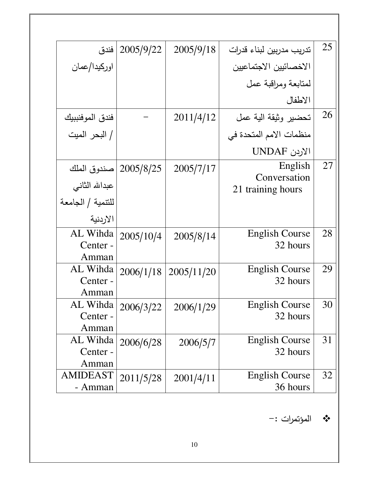| فندق              | 2005/9/22              | 2005/9/18  | تدريب مدربين لبناء قدرات          | 25        |
|-------------------|------------------------|------------|-----------------------------------|-----------|
| اوركيدا/عمان      |                        |            | الاخصائيين الاجتماعيين            |           |
|                   |                        |            | لمنابعة ومراقبة عمل               |           |
|                   |                        |            | الاطفال                           |           |
| فندق الموفنببيك   |                        | 2011/4/12  | تحضير وثيقة الية عمل              | <b>26</b> |
| / البحر الميت     |                        |            | منظمات الامم المتحدة في           |           |
|                   |                        |            | الاردن UNDAF                      |           |
|                   | 2005/8/25  صندوق الملك | 2005/7/17  | English                           | 27        |
| عبدالله الثاني    |                        |            | Conversation<br>21 training hours |           |
| للنتمية / الجامعة |                        |            |                                   |           |
| الاردنية          |                        |            |                                   |           |
| AL Wihda          | 2005/10/4              | 2005/8/14  | <b>English Course</b>             | 28        |
| Center -          |                        |            | 32 hours                          |           |
| Amman             |                        |            |                                   |           |
| AL Wihda          | 2006/1/18              | 2005/11/20 | <b>English Course</b>             | 29        |
| Center -          |                        |            | 32 hours                          |           |
| Amman             |                        |            |                                   |           |
| AL Wihda          | 2006/3/22              | 2006/1/29  | <b>English Course</b>             | 30        |
| Center -          |                        |            | 32 hours                          |           |
| Amman             |                        |            |                                   |           |
| AL Wihda          | 2006/6/28              | 2006/5/7   | <b>English Course</b>             | 31        |
| Center -          |                        |            | 32 hours                          |           |
| Amman             |                        |            |                                   |           |
| <b>AMIDEAST</b>   | 2011/5/28              | 2001/4/11  | <b>English Course</b>             | 32        |
| - Amman           |                        |            | 36 hours                          |           |

\* المؤتمرات :-